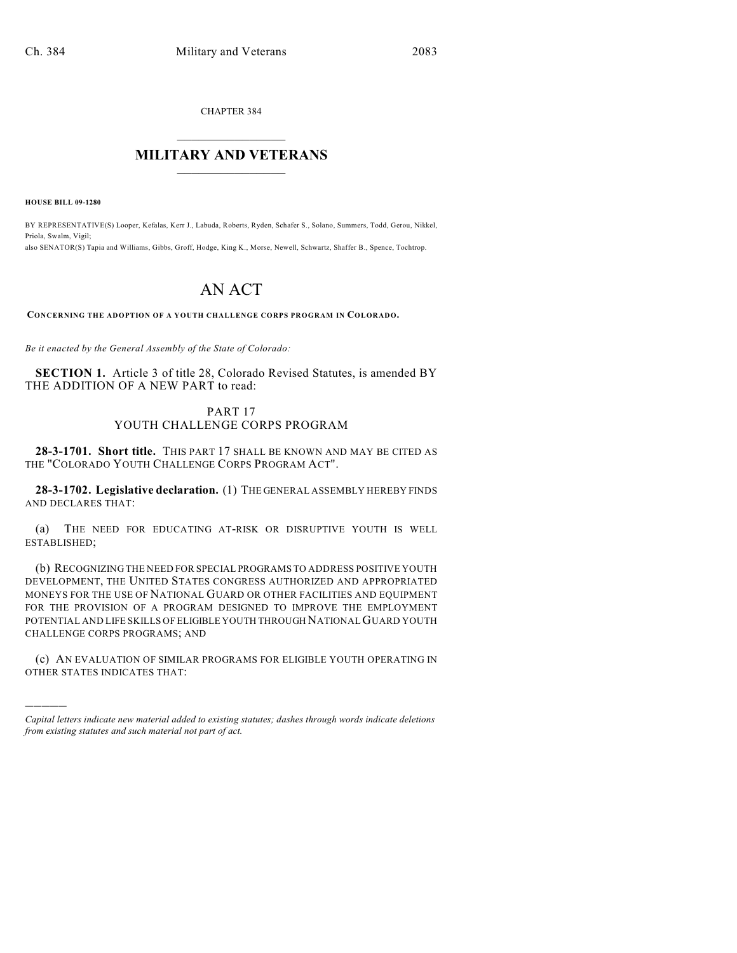CHAPTER 384

## $\overline{\phantom{a}}$  . The set of the set of the set of the set of the set of the set of the set of the set of the set of the set of the set of the set of the set of the set of the set of the set of the set of the set of the set o **MILITARY AND VETERANS**  $\frac{1}{2}$  ,  $\frac{1}{2}$  ,  $\frac{1}{2}$  ,  $\frac{1}{2}$  ,  $\frac{1}{2}$  ,  $\frac{1}{2}$  ,  $\frac{1}{2}$

**HOUSE BILL 09-1280**

)))))

BY REPRESENTATIVE(S) Looper, Kefalas, Kerr J., Labuda, Roberts, Ryden, Schafer S., Solano, Summers, Todd, Gerou, Nikkel, Priola, Swalm, Vigil; also SENATOR(S) Tapia and Williams, Gibbs, Groff, Hodge, King K., Morse, Newell, Schwartz, Shaffer B., Spence, Tochtrop.

## AN ACT

**CONCERNING THE ADOPTION OF A YOUTH CHALLENGE CORPS PROGRAM IN COLORADO.**

*Be it enacted by the General Assembly of the State of Colorado:*

**SECTION 1.** Article 3 of title 28, Colorado Revised Statutes, is amended BY THE ADDITION OF A NEW PART to read:

## PART 17 YOUTH CHALLENGE CORPS PROGRAM

**28-3-1701. Short title.** THIS PART 17 SHALL BE KNOWN AND MAY BE CITED AS THE "COLORADO YOUTH CHALLENGE CORPS PROGRAM ACT".

**28-3-1702. Legislative declaration.** (1) THE GENERAL ASSEMBLY HEREBY FINDS AND DECLARES THAT:

(a) THE NEED FOR EDUCATING AT-RISK OR DISRUPTIVE YOUTH IS WELL ESTABLISHED;

(b) RECOGNIZING THE NEED FOR SPECIAL PROGRAMS TO ADDRESS POSITIVE YOUTH DEVELOPMENT, THE UNITED STATES CONGRESS AUTHORIZED AND APPROPRIATED MONEYS FOR THE USE OF NATIONAL GUARD OR OTHER FACILITIES AND EQUIPMENT FOR THE PROVISION OF A PROGRAM DESIGNED TO IMPROVE THE EMPLOYMENT POTENTIAL AND LIFE SKILLS OF ELIGIBLE YOUTH THROUGH NATIONAL GUARD YOUTH CHALLENGE CORPS PROGRAMS; AND

(c) AN EVALUATION OF SIMILAR PROGRAMS FOR ELIGIBLE YOUTH OPERATING IN OTHER STATES INDICATES THAT:

*Capital letters indicate new material added to existing statutes; dashes through words indicate deletions from existing statutes and such material not part of act.*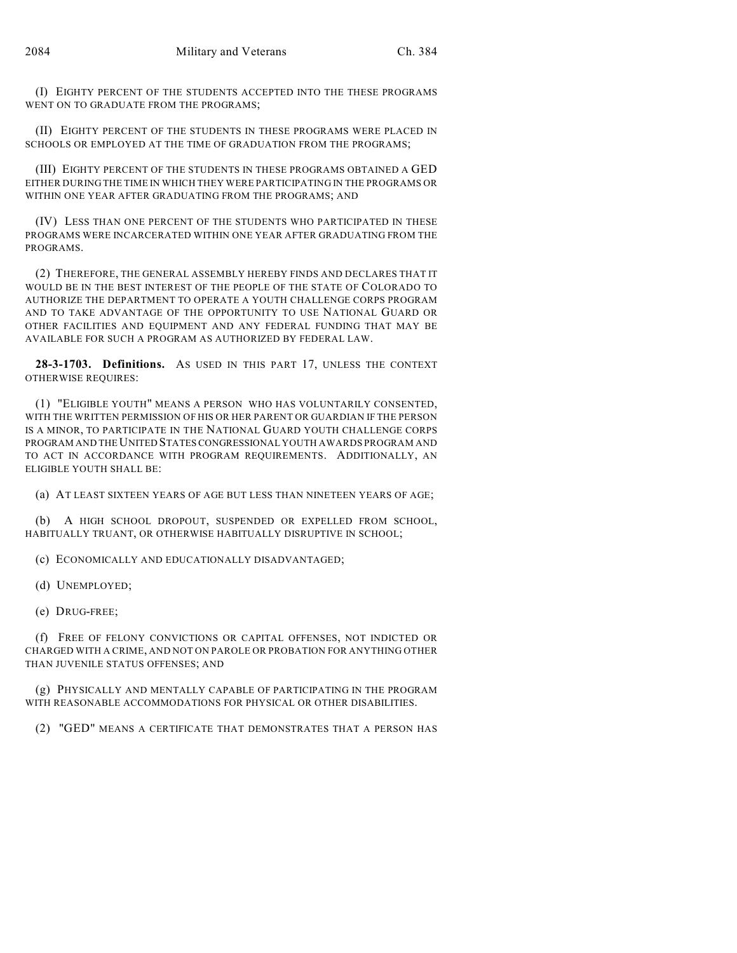(I) EIGHTY PERCENT OF THE STUDENTS ACCEPTED INTO THE THESE PROGRAMS WENT ON TO GRADUATE FROM THE PROGRAMS;

(II) EIGHTY PERCENT OF THE STUDENTS IN THESE PROGRAMS WERE PLACED IN SCHOOLS OR EMPLOYED AT THE TIME OF GRADUATION FROM THE PROGRAMS;

(III) EIGHTY PERCENT OF THE STUDENTS IN THESE PROGRAMS OBTAINED A GED EITHER DURING THE TIME IN WHICH THEY WERE PARTICIPATING IN THE PROGRAMS OR WITHIN ONE YEAR AFTER GRADUATING FROM THE PROGRAMS; AND

(IV) LESS THAN ONE PERCENT OF THE STUDENTS WHO PARTICIPATED IN THESE PROGRAMS WERE INCARCERATED WITHIN ONE YEAR AFTER GRADUATING FROM THE PROGRAMS.

(2) THEREFORE, THE GENERAL ASSEMBLY HEREBY FINDS AND DECLARES THAT IT WOULD BE IN THE BEST INTEREST OF THE PEOPLE OF THE STATE OF COLORADO TO AUTHORIZE THE DEPARTMENT TO OPERATE A YOUTH CHALLENGE CORPS PROGRAM AND TO TAKE ADVANTAGE OF THE OPPORTUNITY TO USE NATIONAL GUARD OR OTHER FACILITIES AND EQUIPMENT AND ANY FEDERAL FUNDING THAT MAY BE AVAILABLE FOR SUCH A PROGRAM AS AUTHORIZED BY FEDERAL LAW.

**28-3-1703. Definitions.** AS USED IN THIS PART 17, UNLESS THE CONTEXT OTHERWISE REQUIRES:

(1) "ELIGIBLE YOUTH" MEANS A PERSON WHO HAS VOLUNTARILY CONSENTED, WITH THE WRITTEN PERMISSION OF HIS OR HER PARENT OR GUARDIAN IF THE PERSON IS A MINOR, TO PARTICIPATE IN THE NATIONAL GUARD YOUTH CHALLENGE CORPS PROGRAM AND THE UNITED STATES CONGRESSIONAL YOUTH AWARDS PROGRAM AND TO ACT IN ACCORDANCE WITH PROGRAM REQUIREMENTS. ADDITIONALLY, AN ELIGIBLE YOUTH SHALL BE:

(a) AT LEAST SIXTEEN YEARS OF AGE BUT LESS THAN NINETEEN YEARS OF AGE;

(b) A HIGH SCHOOL DROPOUT, SUSPENDED OR EXPELLED FROM SCHOOL, HABITUALLY TRUANT, OR OTHERWISE HABITUALLY DISRUPTIVE IN SCHOOL;

(c) ECONOMICALLY AND EDUCATIONALLY DISADVANTAGED;

(d) UNEMPLOYED;

(e) DRUG-FREE;

(f) FREE OF FELONY CONVICTIONS OR CAPITAL OFFENSES, NOT INDICTED OR CHARGED WITH A CRIME, AND NOT ON PAROLE OR PROBATION FOR ANYTHING OTHER THAN JUVENILE STATUS OFFENSES; AND

(g) PHYSICALLY AND MENTALLY CAPABLE OF PARTICIPATING IN THE PROGRAM WITH REASONABLE ACCOMMODATIONS FOR PHYSICAL OR OTHER DISABILITIES.

(2) "GED" MEANS A CERTIFICATE THAT DEMONSTRATES THAT A PERSON HAS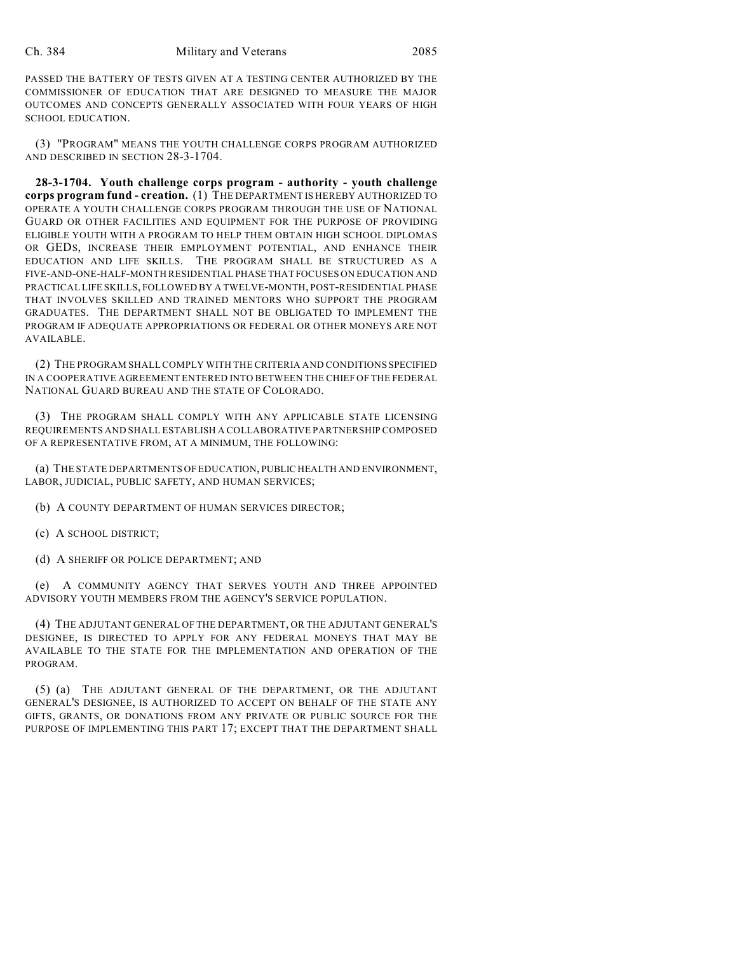PASSED THE BATTERY OF TESTS GIVEN AT A TESTING CENTER AUTHORIZED BY THE COMMISSIONER OF EDUCATION THAT ARE DESIGNED TO MEASURE THE MAJOR OUTCOMES AND CONCEPTS GENERALLY ASSOCIATED WITH FOUR YEARS OF HIGH SCHOOL EDUCATION.

(3) "PROGRAM" MEANS THE YOUTH CHALLENGE CORPS PROGRAM AUTHORIZED AND DESCRIBED IN SECTION 28-3-1704.

**28-3-1704. Youth challenge corps program - authority - youth challenge corps program fund - creation.** (1) THE DEPARTMENT IS HEREBY AUTHORIZED TO OPERATE A YOUTH CHALLENGE CORPS PROGRAM THROUGH THE USE OF NATIONAL GUARD OR OTHER FACILITIES AND EQUIPMENT FOR THE PURPOSE OF PROVIDING ELIGIBLE YOUTH WITH A PROGRAM TO HELP THEM OBTAIN HIGH SCHOOL DIPLOMAS OR GEDS, INCREASE THEIR EMPLOYMENT POTENTIAL, AND ENHANCE THEIR EDUCATION AND LIFE SKILLS. THE PROGRAM SHALL BE STRUCTURED AS A FIVE-AND-ONE-HALF-MONTH RESIDENTIAL PHASE THAT FOCUSES ON EDUCATION AND PRACTICAL LIFE SKILLS, FOLLOWED BY A TWELVE-MONTH, POST-RESIDENTIAL PHASE THAT INVOLVES SKILLED AND TRAINED MENTORS WHO SUPPORT THE PROGRAM GRADUATES. THE DEPARTMENT SHALL NOT BE OBLIGATED TO IMPLEMENT THE PROGRAM IF ADEQUATE APPROPRIATIONS OR FEDERAL OR OTHER MONEYS ARE NOT AVAILABLE.

(2) THE PROGRAM SHALL COMPLY WITH THE CRITERIA AND CONDITIONS SPECIFIED IN A COOPERATIVE AGREEMENT ENTERED INTO BETWEEN THE CHIEF OF THE FEDERAL NATIONAL GUARD BUREAU AND THE STATE OF COLORADO.

(3) THE PROGRAM SHALL COMPLY WITH ANY APPLICABLE STATE LICENSING REQUIREMENTS AND SHALL ESTABLISH A COLLABORATIVE PARTNERSHIP COMPOSED OF A REPRESENTATIVE FROM, AT A MINIMUM, THE FOLLOWING:

(a) THE STATE DEPARTMENTS OF EDUCATION, PUBLIC HEALTH AND ENVIRONMENT, LABOR, JUDICIAL, PUBLIC SAFETY, AND HUMAN SERVICES;

(b) A COUNTY DEPARTMENT OF HUMAN SERVICES DIRECTOR;

- (c) A SCHOOL DISTRICT;
- (d) A SHERIFF OR POLICE DEPARTMENT; AND

(e) A COMMUNITY AGENCY THAT SERVES YOUTH AND THREE APPOINTED ADVISORY YOUTH MEMBERS FROM THE AGENCY'S SERVICE POPULATION.

(4) THE ADJUTANT GENERAL OF THE DEPARTMENT, OR THE ADJUTANT GENERAL'S DESIGNEE, IS DIRECTED TO APPLY FOR ANY FEDERAL MONEYS THAT MAY BE AVAILABLE TO THE STATE FOR THE IMPLEMENTATION AND OPERATION OF THE PROGRAM.

(5) (a) THE ADJUTANT GENERAL OF THE DEPARTMENT, OR THE ADJUTANT GENERAL'S DESIGNEE, IS AUTHORIZED TO ACCEPT ON BEHALF OF THE STATE ANY GIFTS, GRANTS, OR DONATIONS FROM ANY PRIVATE OR PUBLIC SOURCE FOR THE PURPOSE OF IMPLEMENTING THIS PART 17; EXCEPT THAT THE DEPARTMENT SHALL